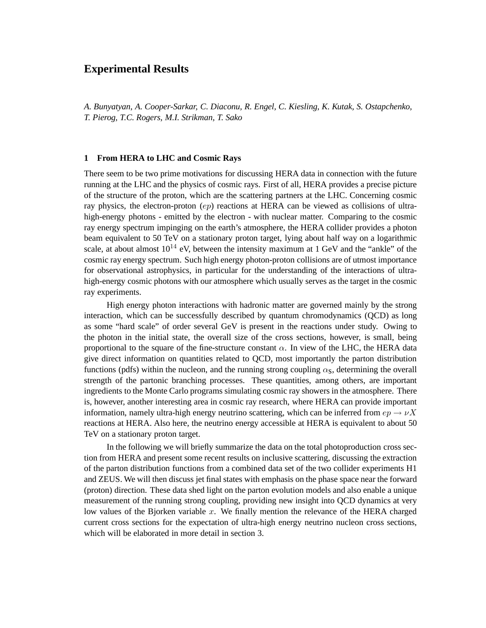# **Experimental Results**

*A. Bunyatyan, A. Cooper-Sarkar, C. Diaconu, R. Engel, C. Kiesling, K. Kutak, S. Ostapchenko, T. Pierog, T.C. Rogers, M.I. Strikman, T. Sako*

# **1 From HERA to LHC and Cosmic Rays**

There seem to be two prime motivations for discussing HERA data in connection with the future running at the LHC and the physics of cosmic rays. First of all, HERA provides a precise picture of the structure of the proton, which are the scattering partners at the LHC. Concerning cosmic ray physics, the electron-proton  $(ep)$  reactions at HERA can be viewed as collisions of ultrahigh-energy photons - emitted by the electron - with nuclear matter. Comparing to the cosmic ray energy spectrum impinging on the earth's atmosphere, the HERA collider provides a photon beam equivalent to 50 TeV on a stationary proton target, lying about half way on a logarithmic scale, at about almost  $10^{14}$  eV, between the intensity maximum at 1 GeV and the "ankle" of the cosmic ray energy spectrum. Such high energy photon-proton collisions are of utmost importance for observational astrophysics, in particular for the understanding of the interactions of ultrahigh-energy cosmic photons with our atmosphere which usually serves as the target in the cosmic ray experiments.

High energy photon interactions with hadronic matter are governed mainly by the strong interaction, which can be successfully described by quantum chromodynamics (QCD) as long as some "hard scale" of order several GeV is present in the reactions under study. Owing to the photon in the initial state, the overall size of the cross sections, however, is small, being proportional to the square of the fine-structure constant  $\alpha$ . In view of the LHC, the HERA data give direct information on quantities related to QCD, most importantly the parton distribution functions (pdfs) within the nucleon, and the running strong coupling  $\alpha_s$ , determining the overall strength of the partonic branching processes. These quantities, among others, are important ingredients to the Monte Carlo programs simulating cosmic ray showers in the atmosphere. There is, however, another interesting area in cosmic ray research, where HERA can provide important information, namely ultra-high energy neutrino scattering, which can be inferred from  $ep \rightarrow \nu X$ reactions at HERA. Also here, the neutrino energy accessible at HERA is equivalent to about 50 TeV on a stationary proton target.

In the following we will briefly summarize the data on the total photoproduction cross section from HERA and present some recent results on inclusive scattering, discussing the extraction of the parton distribution functions from a combined data set of the two collider experiments H1 and ZEUS. We will then discuss jet final states with emphasis on the phase space near the forward (proton) direction. These data shed light on the parton evolution models and also enable a unique measurement of the running strong coupling, providing new insight into QCD dynamics at very low values of the Bjorken variable  $x$ . We finally mention the relevance of the HERA charged current cross sections for the expectation of ultra-high energy neutrino nucleon cross sections, which will be elaborated in more detail in section 3.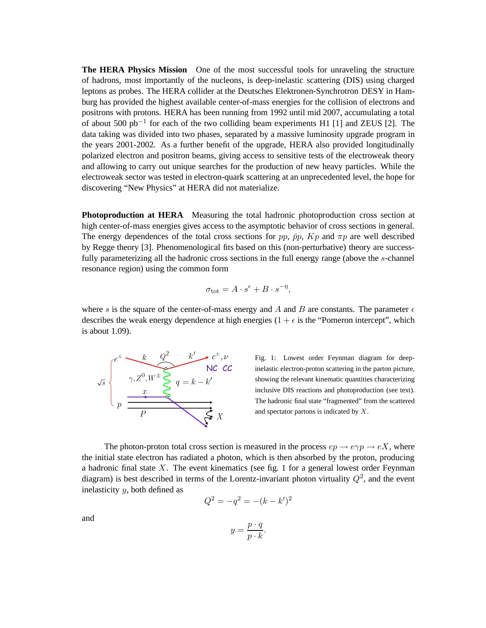**The HERA Physics Mission** One of the most successful tools for unraveling the structure of hadrons, most importantly of the nucleons, is deep-inelastic scattering (DIS) using charged leptons as probes. The HERA collider at the Deutsches Elektronen-Synchrotron DESY in Hamburg has provided the highest available center-of-mass energies for the collision of electrons and positrons with protons. HERA has been running from 1992 until mid 2007, accumulating a total of about 500  $pb^{-1}$  for each of the two colliding beam experiments H1 [1] and ZEUS [2]. The data taking was divided into two phases, separated by a massive luminosity upgrade program in the years 2001-2002. As a further benefit of the upgrade, HERA also provided longitudinally polarized electron and positron beams, giving access to sensitive tests of the electroweak theory and allowing to carry out unique searches for the production of new heavy particles. While the electroweak sector was tested in electron-quark scattering at an unprecedented level, the hope for discovering "New Physics" at HERA did not materialize.

**Photoproduction at HERA** Measuring the total hadronic photoproduction cross section at high center-of-mass energies gives access to the asymptotic behavior of cross sections in general. The energy dependences of the total cross sections for pp,  $\bar{p}p$ ,  $Kp$  and  $\pi p$  are well described by Regge theory [3]. Phenomenological fits based on this (non-perturbative) theory are successfully parameterizing all the hadronic cross sections in the full energy range (above the s-channel resonance region) using the common form

$$
\sigma_{\rm tot} = A \cdot s^{\epsilon} + B \cdot s^{-\eta},
$$

where s is the square of the center-of-mass energy and A and B are constants. The parameter  $\epsilon$ describes the weak energy dependence at high energies  $(1 + \epsilon \text{ is the "Pomeron intercept", which}$ is about 1.09).



Fig. 1: Lowest order Feynman diagram for deepinelastic electron-proton scattering in the parton picture, showing the relevant kinematic quantities characterizing inclusive DIS reactions and photoproduction (see text). The hadronic final state "fragmented" from the scattered and spectator partons is indicated by X.

The photon-proton total cross section is measured in the process  $ep \rightarrow e\gamma p \rightarrow eX$ , where the initial state electron has radiated a photon, which is then absorbed by the proton, producing a hadronic final state  $X$ . The event kinematics (see fig. 1 for a general lowest order Feynman diagram) is best described in terms of the Lorentz-invariant photon virtuality  $Q^2$ , and the event inelasticity  $y$ , both defined as

$$
Q^2 = -q^2 = -(k - k')^2
$$

and

$$
y = \frac{p \cdot q}{p \cdot k}.
$$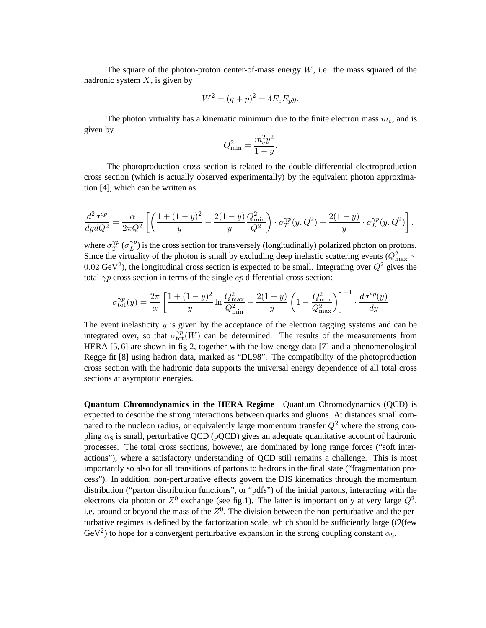The square of the photon-proton center-of-mass energy  $W$ , i.e. the mass squared of the hadronic system  $X$ , is given by

$$
W^2 = (q+p)^2 = 4E_e E_p y.
$$

The photon virtuality has a kinematic minimum due to the finite electron mass  $m_e$ , and is given by

$$
Q_{\min}^2 = \frac{m_e^2 y^2}{1 - y}.
$$

The photoproduction cross section is related to the double differential electroproduction cross section (which is actually observed experimentally) by the equivalent photon approximation [4], which can be written as

$$
\frac{d^2 \sigma^{ep}}{dy dQ^2} = \frac{\alpha}{2\pi Q^2} \left[ \left( \frac{1 + (1 - y)^2}{y} - \frac{2(1 - y)}{y} \frac{Q_{\text{min}}^2}{Q^2} \right) \cdot \sigma_T^{\gamma p} (y, Q^2) + \frac{2(1 - y)}{y} \cdot \sigma_L^{\gamma p} (y, Q^2) \right],
$$

where  $\sigma_T^{\gamma p}$  $_{T}^{\gamma p}$  ( $\sigma_{L}^{\gamma p}$  $\chi_L^{\gamma p}$ ) is the cross section for transversely (longitudinally) polarized photon on protons. Since the virtuality of the photon is small by excluding deep inelastic scattering events ( $Q_{\text{max}}^2 \sim$ 0.02 GeV<sup>2</sup>), the longitudinal cross section is expected to be small. Integrating over  $Q^2$  gives the total  $\gamma p$  cross section in terms of the single ep differential cross section:

$$
\sigma_{\text{tot}}^{\gamma p}(y) = \frac{2\pi}{\alpha} \left[ \frac{1+(1-y)^2}{y} \ln \frac{Q_{\text{max}}^2}{Q_{\text{min}}^2} - \frac{2(1-y)}{y} \left( 1 - \frac{Q_{\text{min}}^2}{Q_{\text{max}}^2} \right) \right]^{-1} \cdot \frac{d\sigma^{ep}(y)}{dy}
$$

The event inelasticity  $y$  is given by the acceptance of the electron tagging systems and can be integrated over, so that  $\sigma_{tot}^{\gamma p}(W)$  can be determined. The results of the measurements from HERA [5, 6] are shown in fig 2, together with the low energy data [7] and a phenomenological Regge fit [8] using hadron data, marked as "DL98". The compatibility of the photoproduction cross section with the hadronic data supports the universal energy dependence of all total cross sections at asymptotic energies.

**Quantum Chromodynamics in the HERA Regime** Quantum Chromodynamics (QCD) is expected to describe the strong interactions between quarks and gluons. At distances small compared to the nucleon radius, or equivalently large momentum transfer  $Q^2$  where the strong coupling  $\alpha_s$  is small, perturbative QCD (pQCD) gives an adequate quantitative account of hadronic processes. The total cross sections, however, are dominated by long range forces ("soft interactions"), where a satisfactory understanding of QCD still remains a challenge. This is most importantly so also for all transitions of partons to hadrons in the final state ("fragmentation process"). In addition, non-perturbative effects govern the DIS kinematics through the momentum distribution ("parton distribution functions", or "pdfs") of the initial partons, interacting with the electrons via photon or  $Z^0$  exchange (see fig.1). The latter is important only at very large  $Q^2$ , i.e. around or beyond the mass of the  $Z<sup>0</sup>$ . The division between the non-perturbative and the perturbative regimes is defined by the factorization scale, which should be sufficiently large ( $\mathcal{O}$ (few GeV<sup>2</sup>) to hope for a convergent perturbative expansion in the strong coupling constant  $\alpha_s$ .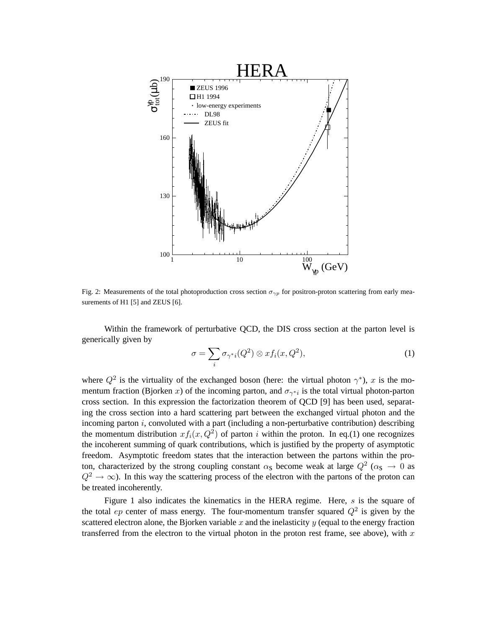

Fig. 2: Measurements of the total photoproduction cross section  $\sigma_{\gamma p}$  for positron-proton scattering from early measurements of H1 [5] and ZEUS [6].

Within the framework of perturbative QCD, the DIS cross section at the parton level is generically given by

$$
\sigma = \sum_{i} \sigma_{\gamma^*i}(Q^2) \otimes x f_i(x, Q^2),\tag{1}
$$

where  $Q^2$  is the virtuality of the exchanged boson (here: the virtual photon  $\gamma^*$ ), x is the momentum fraction (Bjorken x) of the incoming parton, and  $\sigma_{\gamma * i}$  is the total virtual photon-parton cross section. In this expression the factorization theorem of QCD [9] has been used, separating the cross section into a hard scattering part between the exchanged virtual photon and the incoming parton  $i$ , convoluted with a part (including a non-perturbative contribution) describing the momentum distribution  $xf_i(x, Q^2)$  of parton i within the proton. In eq.(1) one recognizes the incoherent summing of quark contributions, which is justified by the property of asymptotic freedom. Asymptotic freedom states that the interaction between the partons within the proton, characterized by the strong coupling constant  $\alpha_s$  become weak at large  $Q^2$  ( $\alpha_s \to 0$  as  $Q^2 \rightarrow \infty$ ). In this way the scattering process of the electron with the partons of the proton can be treated incoherently.

Figure 1 also indicates the kinematics in the HERA regime. Here,  $s$  is the square of the total ep center of mass energy. The four-momentum transfer squared  $Q^2$  is given by the scattered electron alone, the Bjorken variable  $x$  and the inelasticity  $y$  (equal to the energy fraction transferred from the electron to the virtual photon in the proton rest frame, see above), with  $x$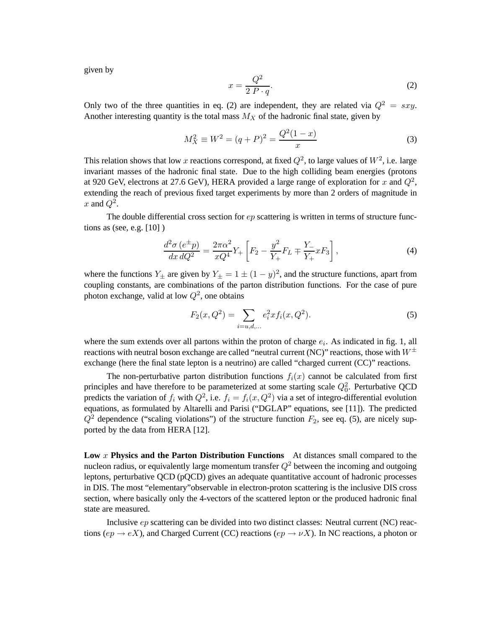given by

$$
x = \frac{Q^2}{2 P \cdot q}.\tag{2}
$$

Only two of the three quantities in eq. (2) are independent, they are related via  $Q^2 = sxy$ . Another interesting quantity is the total mass  $M_X$  of the hadronic final state, given by

$$
M_X^2 \equiv W^2 = (q+P)^2 = \frac{Q^2(1-x)}{x}
$$
 (3)

This relation shows that low x reactions correspond, at fixed  $Q^2$ , to large values of  $W^2$ , i.e. large invariant masses of the hadronic final state. Due to the high colliding beam energies (protons at 920 GeV, electrons at 27.6 GeV), HERA provided a large range of exploration for x and  $Q^2$ , extending the reach of previous fixed target experiments by more than 2 orders of magnitude in x and  $Q^2$ .

The double differential cross section for  $ep$  scattering is written in terms of structure functions as (see, e.g. [10] )

$$
\frac{d^2\sigma (e^{\pm}p)}{dx\,dQ^2} = \frac{2\pi\alpha^2}{xQ^4}Y_+\left[F_2 - \frac{y^2}{Y_+}F_L \mp \frac{Y_-}{Y_+}xF_3\right],\tag{4}
$$

where the functions  $Y_{\pm}$  are given by  $Y_{\pm} = 1 \pm (1 - y)^2$ , and the structure functions, apart from coupling constants, are combinations of the parton distribution functions. For the case of pure photon exchange, valid at low  $Q^2$ , one obtains

$$
F_2(x, Q^2) = \sum_{i=u,d,...} e_i^2 x f_i(x, Q^2).
$$
 (5)

where the sum extends over all partons within the proton of charge  $e_i$ . As indicated in fig. 1, all reactions with neutral boson exchange are called "neutral current (NC)" reactions, those with  $W^{\pm}$ exchange (here the final state lepton is a neutrino) are called "charged current (CC)" reactions.

The non-perturbative parton distribution functions  $f_i(x)$  cannot be calculated from first principles and have therefore to be parameterized at some starting scale  $Q_0^2$ . Perturbative QCD predicts the variation of  $f_i$  with  $Q^2$ , i.e.  $f_i = f_i(x, Q^2)$  via a set of integro-differential evolution equations, as formulated by Altarelli and Parisi ("DGLAP" equations, see [11]). The predicted  $Q^2$  dependence ("scaling violations") of the structure function  $F_2$ , see eq. (5), are nicely supported by the data from HERA [12].

**Low** x **Physics and the Parton Distribution Functions** At distances small compared to the nucleon radius, or equivalently large momentum transfer  $Q^2$  between the incoming and outgoing leptons, perturbative QCD (pQCD) gives an adequate quantitative account of hadronic processes in DIS. The most "elementary"observable in electron-proton scattering is the inclusive DIS cross section, where basically only the 4-vectors of the scattered lepton or the produced hadronic final state are measured.

Inclusive ep scattering can be divided into two distinct classes: Neutral current (NC) reactions (ep  $\rightarrow eX$ ), and Charged Current (CC) reactions (ep  $\rightarrow \nu X$ ). In NC reactions, a photon or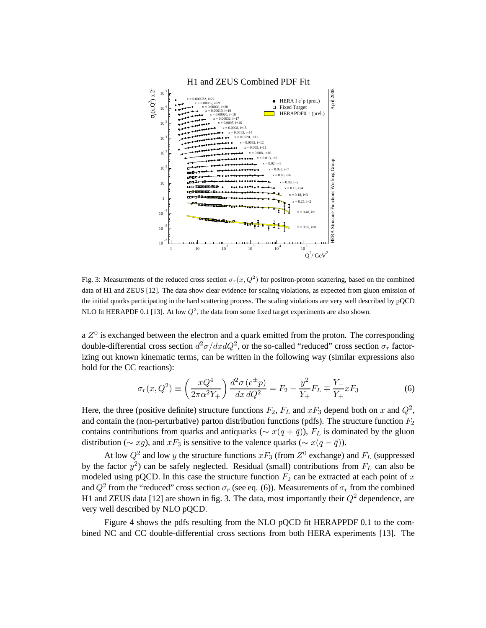

Fig. 3: Measurements of the reduced cross section  $\sigma_r(x, Q^2)$  for positron-proton scattering, based on the combined data of H1 and ZEUS [12]. The data show clear evidence for scaling violations, as expected from gluon emission of the initial quarks participating in the hard scattering process. The scaling violations are very well described by pQCD NLO fit HERAPDF 0.1 [13]. At low  $Q^2$ , the data from some fixed target experiments are also shown.

a  $Z^0$  is exchanged between the electron and a quark emitted from the proton. The corresponding double-differential cross section  $d^2\sigma/dxdQ^2$ , or the so-called "reduced" cross section  $\sigma_r$  factorizing out known kinematic terms, can be written in the following way (similar expressions also hold for the CC reactions):

$$
\sigma_r(x, Q^2) \equiv \left(\frac{xQ^4}{2\pi\alpha^2 Y_+}\right) \frac{d^2\sigma (e^{\pm}p)}{dx \, dQ^2} = F_2 - \frac{y^2}{Y_+} F_L \mp \frac{Y_-}{Y_+} xF_3 \tag{6}
$$

Here, the three (positive definite) structure functions  $F_2$ ,  $F_L$  and  $xF_3$  depend both on x and  $Q^2$ , and contain the (non-perturbative) parton distribution functions (pdfs). The structure function  $F_2$ contains contributions from quarks and antiquarks ( $\sim x(q + \bar{q})$ ),  $F<sub>L</sub>$  is dominated by the gluon distribution ( $\sim xg$ ), and  $xF_3$  is sensitive to the valence quarks ( $\sim x(q - \bar{q})$ ).

At low  $Q^2$  and low y the structure functions  $xF_3$  (from  $Z^0$  exchange) and  $F_L$  (suppressed by the factor  $y^2$ ) can be safely neglected. Residual (small) contributions from  $F_L$  can also be modeled using pQCD. In this case the structure function  $F_2$  can be extracted at each point of x and  $Q^2$  from the "reduced" cross section  $\sigma_r$  (see eq. (6)). Measurements of  $\sigma_r$  from the combined H1 and ZEUS data [12] are shown in fig. 3. The data, most importantly their  $Q^2$  dependence, are very well described by NLO pQCD.

Figure 4 shows the pdfs resulting from the NLO pQCD fit HERAPPDF 0.1 to the combined NC and CC double-differential cross sections from both HERA experiments [13]. The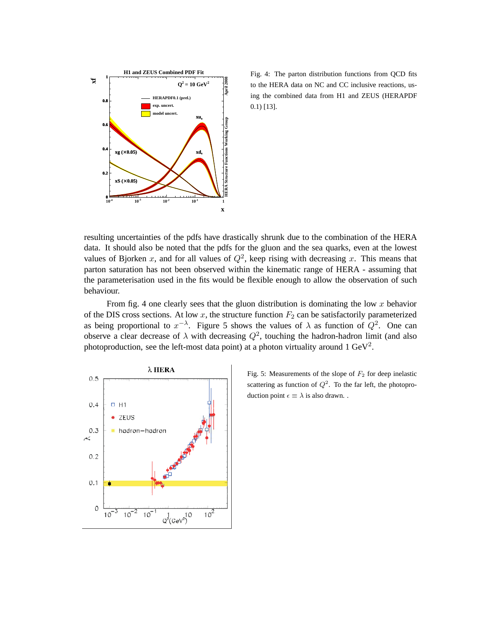

 Fig. 4: The parton distribution functions from QCD fits to the HERA data on NC and CC inclusive reactions, using the combined data from H1 and ZEUS (HERAPDF 0.1) [13].

resulting uncertainties of the pdfs have drastically shrunk due to the combination of the HERA data. It should also be noted that the pdfs for the gluon and the sea quarks, even at the lowest values of Bjorken x, and for all values of  $Q^2$ , keep rising with decreasing x. This means that parton saturation has not been observed within the kinematic range of HERA - assuming that the parameterisation used in the fits would be flexible enough to allow the observation of such behaviour.

From fig. 4 one clearly sees that the gluon distribution is dominating the low  $x$  behavior of the DIS cross sections. At low  $x$ , the structure function  $F_2$  can be satisfactorily parameterized as being proportional to  $x^{-\lambda}$ . Figure 5 shows the values of  $\lambda$  as function of  $Q^2$ . One can observe a clear decrease of  $\lambda$  with decreasing  $Q^2$ , touching the hadron-hadron limit (and also photoproduction, see the left-most data point) at a photon virtuality around  $1 \text{ GeV}^2$ .



Fig. 5: Measurements of the slope of  $F_2$  for deep inelastic scattering as function of  $Q^2$ . To the far left, the photoproduction point  $\epsilon \equiv \lambda$  is also drawn...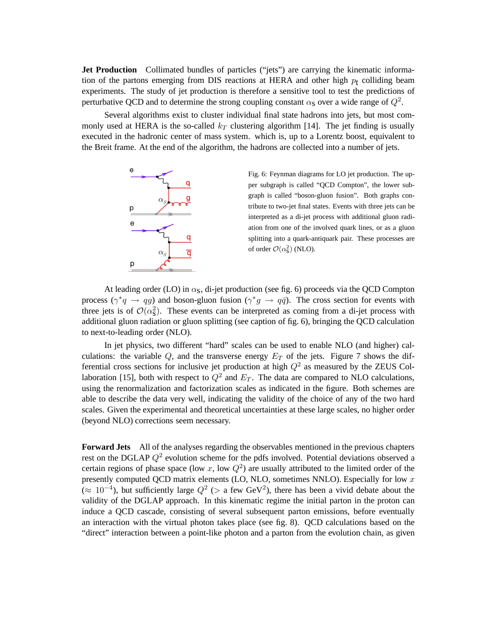**Jet Production** Collimated bundles of particles ("jets") are carrying the kinematic information of the partons emerging from DIS reactions at HERA and other high  $p_t$  colliding beam experiments. The study of jet production is therefore a sensitive tool to test the predictions of perturbative QCD and to determine the strong coupling constant  $\alpha_{\rm S}$  over a wide range of  $Q^2$ .

Several algorithms exist to cluster individual final state hadrons into jets, but most commonly used at HERA is the so-called  $k_T$  clustering algorithm [14]. The jet finding is usually executed in the hadronic center of mass system. which is, up to a Lorentz boost, equivalent to the Breit frame. At the end of the algorithm, the hadrons are collected into a number of jets.



Fig. 6: Feynman diagrams for LO jet production. The upper subgraph is called "QCD Compton", the lower subgraph is called "boson-gluon fusion". Both graphs contribute to two-jet final states. Events with three jets can be interpreted as a di-jet process with additional gluon radiation from one of the involved quark lines, or as a gluon splitting into a quark-antiquark pair. These processes are of order  $\mathcal{O}(\alpha_s^2)$  (NLO).

At leading order (LO) in  $\alpha_s$ , di-jet production (see fig. 6) proceeds via the QCD Compton process  $(\gamma^*q \rightarrow qg)$  and boson-gluon fusion  $(\gamma^*g \rightarrow q\bar{q})$ . The cross section for events with three jets is of  $\mathcal{O}(\alpha_s^2)$ . These events can be interpreted as coming from a di-jet process with additional gluon radiation or gluon splitting (see caption of fig. 6), bringing the QCD calculation to next-to-leading order (NLO).

In jet physics, two different "hard" scales can be used to enable NLO (and higher) calculations: the variable  $Q$ , and the transverse energy  $E_T$  of the jets. Figure 7 shows the differential cross sections for inclusive jet production at high  $Q^2$  as measured by the ZEUS Collaboration [15], both with respect to  $Q^2$  and  $E_T$ . The data are compared to NLO calculations, using the renormalization and factorization scales as indicated in the figure. Both schemes are able to describe the data very well, indicating the validity of the choice of any of the two hard scales. Given the experimental and theoretical uncertainties at these large scales, no higher order (beyond NLO) corrections seem necessary.

**Forward Jets** All of the analyses regarding the observables mentioned in the previous chapters rest on the DGLAP  $Q^2$  evolution scheme for the pdfs involved. Potential deviations observed a certain regions of phase space (low x, low  $Q^2$ ) are usually attributed to the limited order of the presently computed QCD matrix elements (LO, NLO, sometimes NNLO). Especially for low x  $(\approx 10^{-4})$ , but sufficiently large  $Q^2$  (> a few GeV<sup>2</sup>), there has been a vivid debate about the validity of the DGLAP approach. In this kinematic regime the initial parton in the proton can induce a QCD cascade, consisting of several subsequent parton emissions, before eventually an interaction with the virtual photon takes place (see fig. 8). QCD calculations based on the "direct" interaction between a point-like photon and a parton from the evolution chain, as given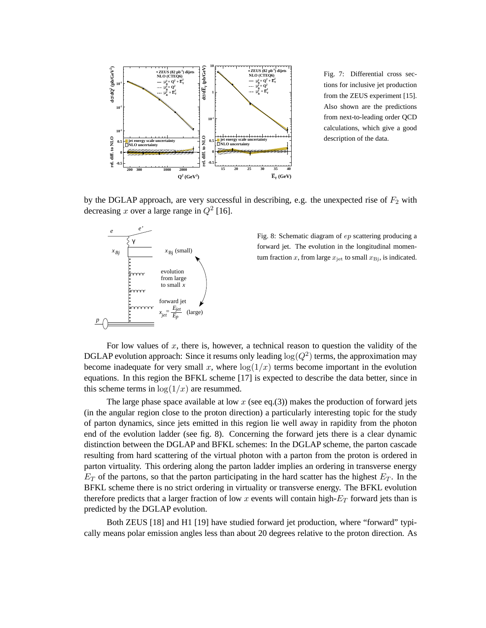

Fig. 7: Differential cross sections for inclusive jet production from the ZEUS experiment [15]. Also shown are the predictions from next-to-leading order QCD calculations, which give a good description of the data.

by the DGLAP approach, are very successful in describing, e.g. the unexpected rise of  $F_2$  with decreasing x over a large range in  $Q^2$  [16].



Fig. 8: Schematic diagram of ep scattering producing a forward jet. The evolution in the longitudinal momentum fraction x, from large  $x_{\text{jet}}$  to small  $x_{\text{Bj}}$ , is indicated.

For low values of x, there is, however, a technical reason to question the validity of the DGLAP evolution approach: Since it resums only leading  $\log(Q^2)$  terms, the approximation may become inadequate for very small x, where  $log(1/x)$  terms become important in the evolution equations. In this region the BFKL scheme [17] is expected to describe the data better, since in this scheme terms in  $log(1/x)$  are resummed.

The large phase space available at low  $x$  (see eq.(3)) makes the production of forward jets (in the angular region close to the proton direction) a particularly interesting topic for the study of parton dynamics, since jets emitted in this region lie well away in rapidity from the photon end of the evolution ladder (see fig. 8). Concerning the forward jets there is a clear dynamic distinction between the DGLAP and BFKL schemes: In the DGLAP scheme, the parton cascade resulting from hard scattering of the virtual photon with a parton from the proton is ordered in parton virtuality. This ordering along the parton ladder implies an ordering in transverse energy  $E<sub>T</sub>$  of the partons, so that the parton participating in the hard scatter has the highest  $E<sub>T</sub>$ . In the BFKL scheme there is no strict ordering in virtuality or transverse energy. The BFKL evolution therefore predicts that a larger fraction of low x events will contain high- $E_T$  forward jets than is predicted by the DGLAP evolution.

Both ZEUS [18] and H1 [19] have studied forward jet production, where "forward" typically means polar emission angles less than about 20 degrees relative to the proton direction. As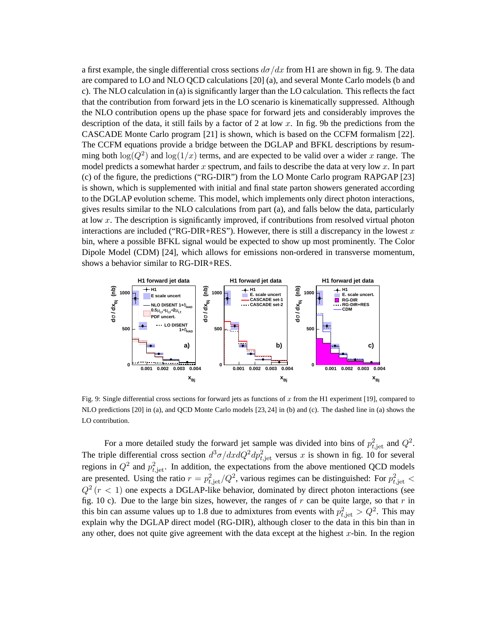a first example, the single differential cross sections  $d\sigma/dx$  from H1 are shown in fig. 9. The data are compared to LO and NLO QCD calculations [20] (a), and several Monte Carlo models (b and c). The NLO calculation in (a) is significantly larger than the LO calculation. This reflects the fact that the contribution from forward jets in the LO scenario is kinematically suppressed. Although the NLO contribution opens up the phase space for forward jets and considerably improves the description of the data, it still fails by a factor of 2 at low x. In fig. 9b the predictions from the CASCADE Monte Carlo program [21] is shown, which is based on the CCFM formalism [22]. The CCFM equations provide a bridge between the DGLAP and BFKL descriptions by resumming both  $\log(Q^2)$  and  $\log(1/x)$  terms, and are expected to be valid over a wider x range. The model predicts a somewhat harder x spectrum, and fails to describe the data at very low  $x$ . In part (c) of the figure, the predictions ("RG-DIR") from the LO Monte Carlo program RAPGAP [23] is shown, which is supplemented with initial and final state parton showers generated according to the DGLAP evolution scheme. This model, which implements only direct photon interactions, gives results similar to the NLO calculations from part (a), and falls below the data, particularly at low  $x$ . The description is significantly improved, if contributions from resolved virtual photon interactions are included ("RG-DIR+RES"). However, there is still a discrepancy in the lowest  $x$ bin, where a possible BFKL signal would be expected to show up most prominently. The Color Dipole Model (CDM) [24], which allows for emissions non-ordered in transverse momentum, shows a behavior similar to RG-DIR+RES.



Fig. 9: Single differential cross sections for forward jets as functions of x from the H1 experiment [19], compared to NLO predictions [20] in (a), and QCD Monte Carlo models [23, 24] in (b) and (c). The dashed line in (a) shows the LO contribution.

For a more detailed study the forward jet sample was divided into bins of  $p_{t,jet}^2$  and  $Q^2$ . The triple differential cross section  $d^3\sigma/dxdQ^2dp_{t,jet}^2$  versus x is shown in fig. 10 for several regions in  $Q^2$  and  $p_{t,jet}^2$ . In addition, the expectations from the above mentioned QCD models are presented. Using the ratio  $r = p_{t,jet}^2/Q^2$ , various regimes can be distinguished: For  $p_{t,jet}^2$  <  $Q^2$  ( $r$  < 1) one expects a DGLAP-like behavior, dominated by direct photon interactions (see fig. 10 c). Due to the large bin sizes, however, the ranges of r can be quite large, so that r in this bin can assume values up to 1.8 due to admixtures from events with  $p_{t,jet}^2 > Q^2$ . This may explain why the DGLAP direct model (RG-DIR), although closer to the data in this bin than in any other, does not quite give agreement with the data except at the highest  $x$ -bin. In the region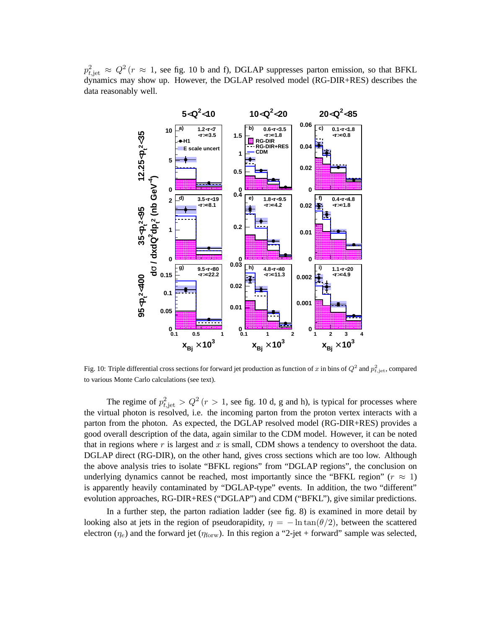$p_{t,jet}^2 \approx Q^2$  ( $r \approx 1$ , see fig. 10 b and f), DGLAP suppresses parton emission, so that BFKL dynamics may show up. However, the DGLAP resolved model (RG-DIR+RES) describes the data reasonably well.



Fig. 10: Triple differential cross sections for forward jet production as function of  $x$  in bins of  $Q^2$  and  $p_{t, \rm jet}^2$ , compared to various Monte Carlo calculations (see text).

The regime of  $p_{t,\text{jet}}^2 > Q^2$  ( $r > 1$ , see fig. 10 d, g and h), is typical for processes where the virtual photon is resolved, i.e. the incoming parton from the proton vertex interacts with a parton from the photon. As expected, the DGLAP resolved model (RG-DIR+RES) provides a good overall description of the data, again similar to the CDM model. However, it can be noted that in regions where  $r$  is largest and  $x$  is small, CDM shows a tendency to overshoot the data. DGLAP direct (RG-DIR), on the other hand, gives cross sections which are too low. Although the above analysis tries to isolate "BFKL regions" from "DGLAP regions", the conclusion on underlying dynamics cannot be reached, most importantly since the "BFKL region" ( $r \approx 1$ ) is apparently heavily contaminated by "DGLAP-type" events. In addition, the two "different" evolution approaches, RG-DIR+RES ("DGLAP") and CDM ("BFKL"), give similar predictions.

In a further step, the parton radiation ladder (see fig. 8) is examined in more detail by looking also at jets in the region of pseudorapidity,  $\eta = -\ln \tan(\theta/2)$ , between the scattered electron  $(\eta_e)$  and the forward jet  $(\eta_{\text{forward}})$ . In this region a "2-jet + forward" sample was selected,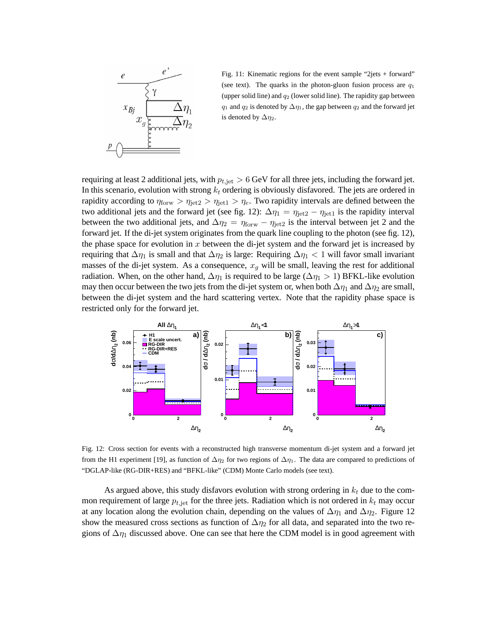

Fig. 11: Kinematic regions for the event sample "2jets + forward" (see text). The quarks in the photon-gluon fusion process are  $q_1$ (upper solid line) and  $q_2$  (lower solid line). The rapidity gap between  $q_1$  and  $q_2$  is denoted by  $\Delta \eta_1$ , the gap between  $q_2$  and the forward jet is denoted by  $\Delta \eta_2$ .

requiring at least 2 additional jets, with  $p_{t,jet} > 6$  GeV for all three jets, including the forward jet. In this scenario, evolution with strong  $k_t$  ordering is obviously disfavored. The jets are ordered in rapidity according to  $\eta_{\text{forw}} > \eta_{\text{jet2}} > \eta_{\text{jet1}} > \eta_e$ . Two rapidity intervals are defined between the two additional jets and the forward jet (see fig. 12):  $\Delta \eta_1 = \eta_{\text{jet}2} - \eta_{\text{jet}1}$  is the rapidity interval between the two additional jets, and  $\Delta \eta_2 = \eta_{\text{forw}} - \eta_{\text{jet}2}$  is the interval between jet 2 and the forward jet. If the di-jet system originates from the quark line coupling to the photon (see fig. 12), the phase space for evolution in  $x$  between the di-jet system and the forward jet is increased by requiring that  $\Delta \eta_1$  is small and that  $\Delta \eta_2$  is large: Requiring  $\Delta \eta_1 < 1$  will favor small invariant masses of the di-jet system. As a consequence,  $x_q$  will be small, leaving the rest for additional radiation. When, on the other hand,  $\Delta \eta_1$  is required to be large ( $\Delta \eta_1 > 1$ ) BFKL-like evolution may then occur between the two jets from the di-jet system or, when both  $\Delta \eta_1$  and  $\Delta \eta_2$  are small, between the di-jet system and the hard scattering vertex. Note that the rapidity phase space is restricted only for the forward jet.



Fig. 12: Cross section for events with a reconstructed high transverse momentum di-jet system and a forward jet from the H1 experiment [19], as function of  $\Delta \eta_2$  for two regions of  $\Delta \eta_1$ . The data are compared to predictions of "DGLAP-like (RG-DIR+RES) and "BFKL-like" (CDM) Monte Carlo models (see text).

As argued above, this study disfavors evolution with strong ordering in  $k_t$  due to the common requirement of large  $p_{t, jet}$  for the three jets. Radiation which is not ordered in  $k_t$  may occur at any location along the evolution chain, depending on the values of  $\Delta \eta_1$  and  $\Delta \eta_2$ . Figure 12 show the measured cross sections as function of  $\Delta \eta_2$  for all data, and separated into the two regions of  $\Delta \eta_1$  discussed above. One can see that here the CDM model is in good agreement with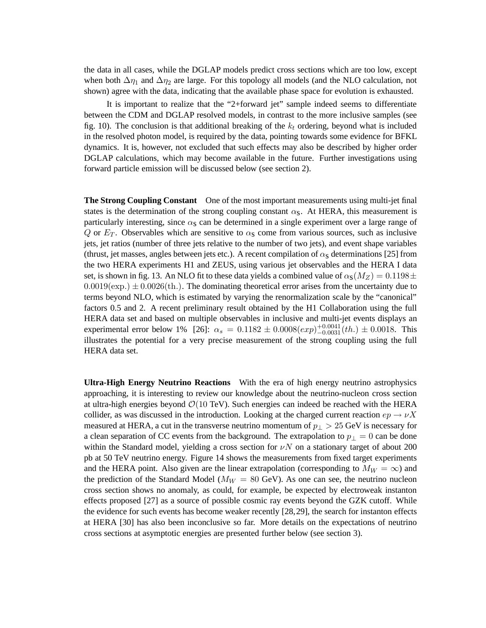the data in all cases, while the DGLAP models predict cross sections which are too low, except when both  $\Delta \eta_1$  and  $\Delta \eta_2$  are large. For this topology all models (and the NLO calculation, not shown) agree with the data, indicating that the available phase space for evolution is exhausted.

It is important to realize that the "2+forward jet" sample indeed seems to differentiate between the CDM and DGLAP resolved models, in contrast to the more inclusive samples (see fig. 10). The conclusion is that additional breaking of the  $k_t$  ordering, beyond what is included in the resolved photon model, is required by the data, pointing towards some evidence for BFKL dynamics. It is, however, not excluded that such effects may also be described by higher order DGLAP calculations, which may become available in the future. Further investigations using forward particle emission will be discussed below (see section 2).

**The Strong Coupling Constant** One of the most important measurements using multi-jet final states is the determination of the strong coupling constant  $\alpha_{\rm S}$ . At HERA, this measurement is particularly interesting, since  $\alpha_s$  can be determined in a single experiment over a large range of Q or  $E_T$ . Observables which are sensitive to  $\alpha_s$  come from various sources, such as inclusive jets, jet ratios (number of three jets relative to the number of two jets), and event shape variables (thrust, jet masses, angles between jets etc.). A recent compilation of  $\alpha_s$  determinations [25] from the two HERA experiments H1 and ZEUS, using various jet observables and the HERA I data set, is shown in fig. 13. An NLO fit to these data yields a combined value of  $\alpha_{\rm S}(M_Z) = 0.1198 \pm$  $0.0019$ (exp.)  $\pm 0.0026$ (th.). The dominating theoretical error arises from the uncertainty due to terms beyond NLO, which is estimated by varying the renormalization scale by the "canonical" factors 0.5 and 2. A recent preliminary result obtained by the H1 Collaboration using the full HERA data set and based on multiple observables in inclusive and multi-jet events displays an experimental error below 1% [26]:  $\alpha_s = 0.1182 \pm 0.0008(exp)^{+0.0041}_{-0.0031}(th.) \pm 0.0018$ . This illustrates the potential for a very precise measurement of the strong coupling using the full HERA data set.

**Ultra-High Energy Neutrino Reactions** With the era of high energy neutrino astrophysics approaching, it is interesting to review our knowledge about the neutrino-nucleon cross section at ultra-high energies beyond  $\mathcal{O}(10 \text{ TeV})$ . Such energies can indeed be reached with the HERA collider, as was discussed in the introduction. Looking at the charged current reaction  $ep \rightarrow \nu X$ measured at HERA, a cut in the transverse neutrino momentum of  $p_{\perp} > 25$  GeV is necessary for a clean separation of CC events from the background. The extrapolation to  $p_{\perp} = 0$  can be done within the Standard model, yielding a cross section for  $\nu N$  on a stationary target of about 200 pb at 50 TeV neutrino energy. Figure 14 shows the measurements from fixed target experiments and the HERA point. Also given are the linear extrapolation (corresponding to  $M_W = \infty$ ) and the prediction of the Standard Model ( $M_W = 80$  GeV). As one can see, the neutrino nucleon cross section shows no anomaly, as could, for example, be expected by electroweak instanton effects proposed [27] as a source of possible cosmic ray events beyond the GZK cutoff. While the evidence for such events has become weaker recently [28,29], the search for instanton effects at HERA [30] has also been inconclusive so far. More details on the expectations of neutrino cross sections at asymptotic energies are presented further below (see section 3).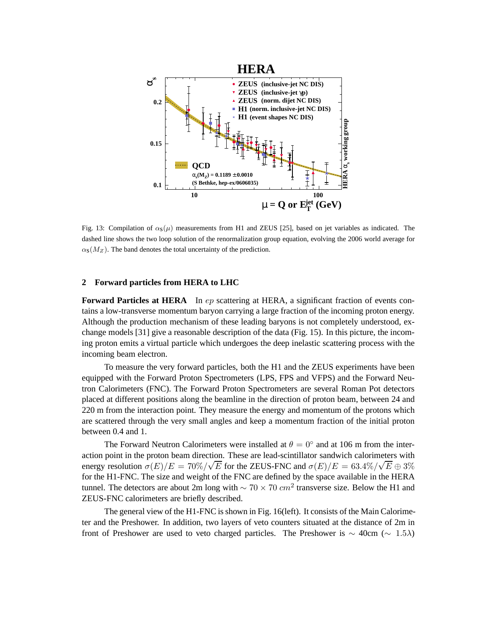

Fig. 13: Compilation of  $\alpha_{s}(\mu)$  measurements from H1 and ZEUS [25], based on jet variables as indicated. The dashed line shows the two loop solution of the renormalization group equation, evolving the 2006 world average for  $\alpha_{\rm s}(M_Z)$ . The band denotes the total uncertainty of the prediction.

# **2 Forward particles from HERA to LHC**

**Forward Particles at HERA** In ep scattering at HERA, a significant fraction of events contains a low-transverse momentum baryon carrying a large fraction of the incoming proton energy. Although the production mechanism of these leading baryons is not completely understood, exchange models [31] give a reasonable description of the data (Fig. 15). In this picture, the incoming proton emits a virtual particle which undergoes the deep inelastic scattering process with the incoming beam electron.

To measure the very forward particles, both the H1 and the ZEUS experiments have been equipped with the Forward Proton Spectrometers (LPS, FPS and VFPS) and the Forward Neutron Calorimeters (FNC). The Forward Proton Spectrometers are several Roman Pot detectors placed at different positions along the beamline in the direction of proton beam, between 24 and 220 m from the interaction point. They measure the energy and momentum of the protons which are scattered through the very small angles and keep a momentum fraction of the initial proton between 0.4 and 1.

The Forward Neutron Calorimeters were installed at  $\theta = 0^{\circ}$  and at 106 m from the interaction point in the proton beam direction. These are lead-scintillator sandwich calorimeters with energy resolution  $\sigma(E)/E = 70\%/\sqrt{E}$  for the ZEUS-FNC and  $\sigma(E)/E = 63.4\%/\sqrt{E} \oplus 3\%$ for the H1-FNC. The size and weight of the FNC are defined by the space available in the HERA tunnel. The detectors are about 2m long with  $\sim 70 \times 70$  cm<sup>2</sup> transverse size. Below the H1 and ZEUS-FNC calorimeters are briefly described.

The general view of the H1-FNC is shown in Fig. 16(left). It consists of the Main Calorimeter and the Preshower. In addition, two layers of veto counters situated at the distance of 2m in front of Preshower are used to veto charged particles. The Preshower is  $\sim 40 \text{cm } (\sim 1.5 \lambda)$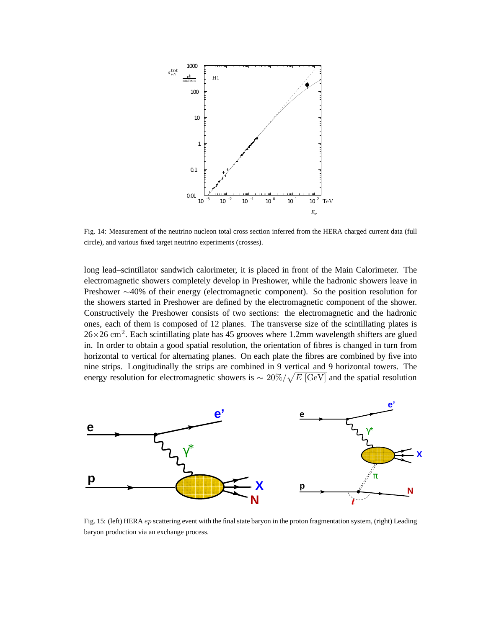

Fig. 14: Measurement of the neutrino nucleon total cross section inferred from the HERA charged current data (full circle), and various fixed target neutrino experiments (crosses).

long lead–scintillator sandwich calorimeter, it is placed in front of the Main Calorimeter. The electromagnetic showers completely develop in Preshower, while the hadronic showers leave in Preshower ∼40% of their energy (electromagnetic component). So the position resolution for the showers started in Preshower are defined by the electromagnetic component of the shower. Constructively the Preshower consists of two sections: the electromagnetic and the hadronic ones, each of them is composed of 12 planes. The transverse size of the scintillating plates is  $26\times26$  cm<sup>2</sup>. Each scintillating plate has 45 grooves where 1.2mm wavelength shifters are glued in. In order to obtain a good spatial resolution, the orientation of fibres is changed in turn from horizontal to vertical for alternating planes. On each plate the fibres are combined by five into nine strips. Longitudinally the strips are combined in 9 vertical and 9 horizontal towers. The energy resolution for electromagnetic showers is  $\sim 20\% / \sqrt{E\text{ [GeV]}}$  and the spatial resolution



Fig. 15: (left) HERA *ep* scattering event with the final state baryon in the proton fragmentation system, (right) Leading baryon production via an exchange process.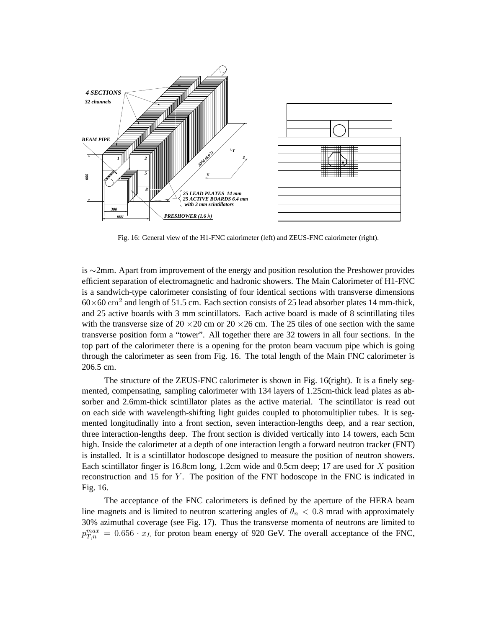

Fig. 16: General view of the H1-FNC calorimeter (left) and ZEUS-FNC calorimeter (right).

is ∼2mm. Apart from improvement of the energy and position resolution the Preshower provides efficient separation of electromagnetic and hadronic showers. The Main Calorimeter of H1-FNC is a sandwich-type calorimeter consisting of four identical sections with transverse dimensions  $60\times60$  cm<sup>2</sup> and length of 51.5 cm. Each section consists of 25 lead absorber plates 14 mm-thick, and 25 active boards with 3 mm scintillators. Each active board is made of 8 scintillating tiles with the transverse size of 20  $\times$  20 cm or 20  $\times$  26 cm. The 25 tiles of one section with the same transverse position form a "tower". All together there are 32 towers in all four sections. In the top part of the calorimeter there is a opening for the proton beam vacuum pipe which is going through the calorimeter as seen from Fig. 16. The total length of the Main FNC calorimeter is 206.5 cm.

The structure of the ZEUS-FNC calorimeter is shown in Fig. 16(right). It is a finely segmented, compensating, sampling calorimeter with 134 layers of 1.25cm-thick lead plates as absorber and 2.6mm-thick scintillator plates as the active material. The scintillator is read out on each side with wavelength-shifting light guides coupled to photomultiplier tubes. It is segmented longitudinally into a front section, seven interaction-lengths deep, and a rear section, three interaction-lengths deep. The front section is divided vertically into 14 towers, each 5cm high. Inside the calorimeter at a depth of one interaction length a forward neutron tracker (FNT) is installed. It is a scintillator hodoscope designed to measure the position of neutron showers. Each scintillator finger is 16.8cm long, 1.2cm wide and 0.5cm deep; 17 are used for X position reconstruction and 15 for Y . The position of the FNT hodoscope in the FNC is indicated in Fig. 16.

The acceptance of the FNC calorimeters is defined by the aperture of the HERA beam line magnets and is limited to neutron scattering angles of  $\theta_n < 0.8$  mrad with approximately 30% azimuthal coverage (see Fig. 17). Thus the transverse momenta of neutrons are limited to  $p_{T,n}^{max} = 0.656 \cdot x_L$  for proton beam energy of 920 GeV. The overall acceptance of the FNC,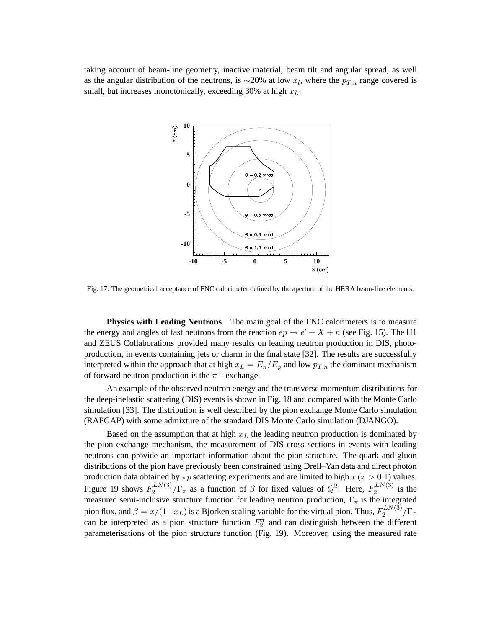taking account of beam-line geometry, inactive material, beam tilt and angular spread, as well as the angular distribution of the neutrons, is  $\sim$ 20% at low  $x_l$ , where the  $p_{T,n}$  range covered is small, but increases monotonically, exceeding 30% at high  $x_L$ .



Fig. 17: The geometrical acceptance of FNC calorimeter defined by the aperture of the HERA beam-line elements.

**Physics with Leading Neutrons** The main goal of the FNC calorimeters is to measure the energy and angles of fast neutrons from the reaction  $ep \rightarrow e' + X + n$  (see Fig. 15). The H1 and ZEUS Collaborations provided many results on leading neutron production in DIS, photoproduction, in events containing jets or charm in the final state [32]. The results are successfully interpreted within the approach that at high  $x_L = E_n/E_p$  and low  $p_{T,n}$  the dominant mechanism of forward neutron production is the  $\pi^+$ -exchange.

An example of the observed neutron energy and the transverse momentum distributions for the deep-inelastic scattering (DIS) events is shown in Fig. 18 and compared with the Monte Carlo simulation [33]. The distribution is well described by the pion exchange Monte Carlo simulation (RAPGAP) with some admixture of the standard DIS Monte Carlo simulation (DJANGO).

Based on the assumption that at high  $x<sub>L</sub>$  the leading neutron production is dominated by the pion exchange mechanism, the measurement of DIS cross sections in events with leading neutrons can provide an important information about the pion structure. The quark and gluon distributions of the pion have previously been constrained using Drell–Yan data and direct photon production data obtained by  $\pi p$  scattering experiments and are limited to high  $x$  ( $x > 0.1$ ) values. Figure 19 shows  $F_2^{LN(3)}$  $\frac{1}{2}$ ,  $\frac{1}{2}$   $\int \Gamma_{\pi}$  as a function of  $\beta$  for fixed values of  $Q^2$ . Here,  $F_2^{LN(3)}$  $i^{L N(S)}$  is the measured semi-inclusive structure function for leading neutron production,  $\Gamma_{\pi}$  is the integrated pion flux, and  $\beta = x/(1-x_L)$  is a Bjorken scaling variable for the virtual pion. Thus,  $F_2^{LN(3)}$  $\frac{1}{2}$ <sup>LIV(3)</sup>/ $\Gamma_{\pi}$ can be interpreted as a pion structure function  $F_2^{\pi}$  and can distinguish between the different parameterisations of the pion structure function (Fig. 19). Moreover, using the measured rate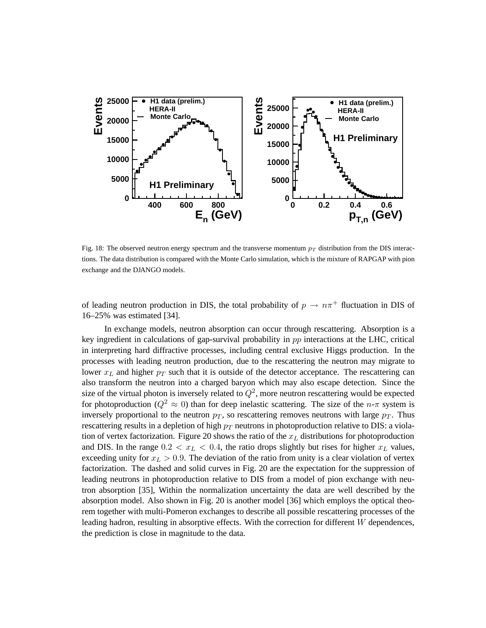

Fig. 18: The observed neutron energy spectrum and the transverse momentum  $p_T$  distribution from the DIS interactions. The data distribution is compared with the Monte Carlo simulation, which is the mixture of RAPGAP with pion exchange and the DJANGO models.

of leading neutron production in DIS, the total probability of  $p \to n\pi^+$  fluctuation in DIS of 16–25% was estimated [34].

In exchange models, neutron absorption can occur through rescattering. Absorption is a key ingredient in calculations of gap-survival probability in pp interactions at the LHC, critical in interpreting hard diffractive processes, including central exclusive Higgs production. In the processes with leading neutron production, due to the rescattering the neutron may migrate to lower  $x_L$  and higher  $p_T$  such that it is outside of the detector acceptance. The rescattering can also transform the neutron into a charged baryon which may also escape detection. Since the size of the virtual photon is inversely related to  $Q^2$ , more neutron rescattering would be expected for photoproduction ( $Q^2 \approx 0$ ) than for deep inelastic scattering. The size of the  $n-\pi$  system is inversely proportional to the neutron  $p_T$ , so rescattering removes neutrons with large  $p_T$ . Thus rescattering results in a depletion of high  $p_T$  neutrons in photoproduction relative to DIS: a violation of vertex factorization. Figure 20 shows the ratio of the  $x<sub>L</sub>$  distributions for photoproduction and DIS. In the range  $0.2 < x_L < 0.4$ , the ratio drops slightly but rises for higher  $x_L$  values, exceeding unity for  $x_L > 0.9$ . The deviation of the ratio from unity is a clear violation of vertex factorization. The dashed and solid curves in Fig. 20 are the expectation for the suppression of leading neutrons in photoproduction relative to DIS from a model of pion exchange with neutron absorption [35], Within the normalization uncertainty the data are well described by the absorption model. Also shown in Fig. 20 is another model [36] which employs the optical theorem together with multi-Pomeron exchanges to describe all possible rescattering processes of the leading hadron, resulting in absorptive effects. With the correction for different  $W$  dependences, the prediction is close in magnitude to the data.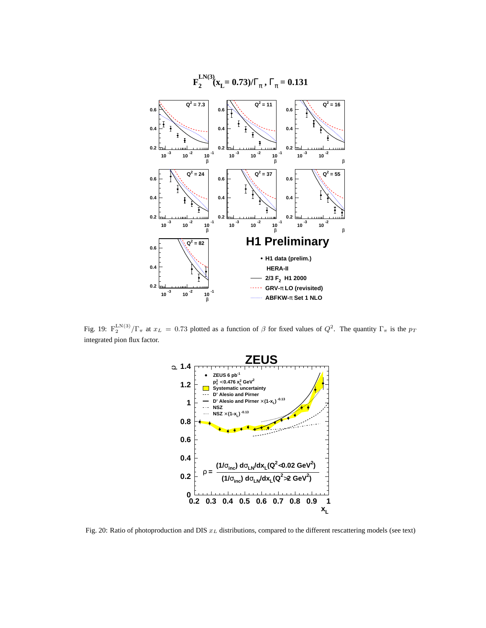

Fig. 19:  $F_2^{LN(3)}/\Gamma_\pi$  at  $x_L = 0.73$  plotted as a function of  $\beta$  for fixed values of  $Q^2$ . The quantity  $\Gamma_\pi$  is the  $p_T$ integrated pion flux factor.



Fig. 20: Ratio of photoproduction and DIS  $x_L$  distributions, compared to the different rescattering models (see text)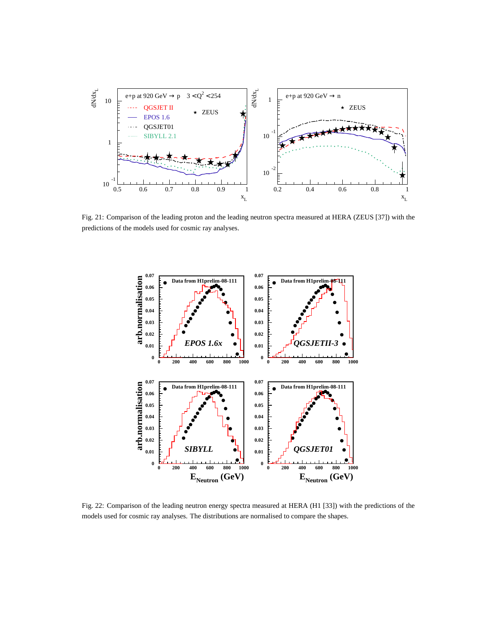

Fig. 21: Comparison of the leading proton and the leading neutron spectra measured at HERA (ZEUS [37]) with the predictions of the models used for cosmic ray analyses.



Fig. 22: Comparison of the leading neutron energy spectra measured at HERA (H1 [33]) with the predictions of the models used for cosmic ray analyses. The distributions are normalised to compare the shapes.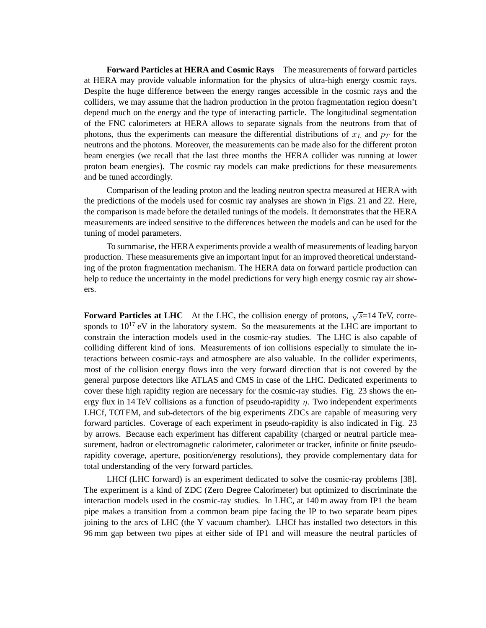**Forward Particles at HERA and Cosmic Rays** The measurements of forward particles at HERA may provide valuable information for the physics of ultra-high energy cosmic rays. Despite the huge difference between the energy ranges accessible in the cosmic rays and the colliders, we may assume that the hadron production in the proton fragmentation region doesn't depend much on the energy and the type of interacting particle. The longitudinal segmentation of the FNC calorimeters at HERA allows to separate signals from the neutrons from that of photons, thus the experiments can measure the differential distributions of  $x<sub>L</sub>$  and  $p<sub>T</sub>$  for the neutrons and the photons. Moreover, the measurements can be made also for the different proton beam energies (we recall that the last three months the HERA collider was running at lower proton beam energies). The cosmic ray models can make predictions for these measurements and be tuned accordingly.

Comparison of the leading proton and the leading neutron spectra measured at HERA with the predictions of the models used for cosmic ray analyses are shown in Figs. 21 and 22. Here, the comparison is made before the detailed tunings of the models. It demonstrates that the HERA measurements are indeed sensitive to the differences between the models and can be used for the tuning of model parameters.

To summarise, the HERA experiments provide a wealth of measurements of leading baryon production. These measurements give an important input for an improved theoretical understanding of the proton fragmentation mechanism. The HERA data on forward particle production can help to reduce the uncertainty in the model predictions for very high energy cosmic ray air showers.

**Forward Particles at LHC** At the LHC, the collision energy of protons,  $\sqrt{s}$ =14 TeV, corresponds to  $10^{17}$  eV in the laboratory system. So the measurements at the LHC are important to constrain the interaction models used in the cosmic-ray studies. The LHC is also capable of colliding different kind of ions. Measurements of ion collisions especially to simulate the interactions between cosmic-rays and atmosphere are also valuable. In the collider experiments, most of the collision energy flows into the very forward direction that is not covered by the general purpose detectors like ATLAS and CMS in case of the LHC. Dedicated experiments to cover these high rapidity region are necessary for the cosmic-ray studies. Fig. 23 shows the energy flux in 14 TeV collisions as a function of pseudo-rapidity  $\eta$ . Two independent experiments LHCf, TOTEM, and sub-detectors of the big experiments ZDCs are capable of measuring very forward particles. Coverage of each experiment in pseudo-rapidity is also indicated in Fig. 23 by arrows. Because each experiment has different capability (charged or neutral particle measurement, hadron or electromagnetic calorimeter, calorimeter or tracker, infinite or finite pseudorapidity coverage, aperture, position/energy resolutions), they provide complementary data for total understanding of the very forward particles.

LHCf (LHC forward) is an experiment dedicated to solve the cosmic-ray problems [38]. The experiment is a kind of ZDC (Zero Degree Calorimeter) but optimized to discriminate the interaction models used in the cosmic-ray studies. In LHC, at 140 m away from IP1 the beam pipe makes a transition from a common beam pipe facing the IP to two separate beam pipes joining to the arcs of LHC (the Y vacuum chamber). LHCf has installed two detectors in this 96 mm gap between two pipes at either side of IP1 and will measure the neutral particles of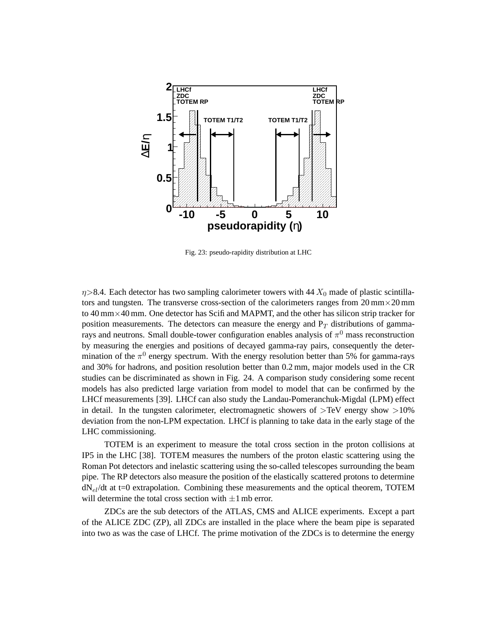

Fig. 23: pseudo-rapidity distribution at LHC

 $\eta$ >8.4. Each detector has two sampling calorimeter towers with 44  $X_0$  made of plastic scintillators and tungsten. The transverse cross-section of the calorimeters ranges from  $20 \text{ mm} \times 20 \text{ mm}$ to 40 mm×40 mm. One detector has Scifi and MAPMT, and the other has silicon strip tracker for position measurements. The detectors can measure the energy and  $P_T$  distributions of gammarays and neutrons. Small double-tower configuration enables analysis of  $\pi^0$  mass reconstruction by measuring the energies and positions of decayed gamma-ray pairs, consequently the determination of the  $\pi^0$  energy spectrum. With the energy resolution better than 5% for gamma-rays and 30% for hadrons, and position resolution better than 0.2 mm, major models used in the CR studies can be discriminated as shown in Fig. 24. A comparison study considering some recent models has also predicted large variation from model to model that can be confirmed by the LHCf measurements [39]. LHCf can also study the Landau-Pomeranchuk-Migdal (LPM) effect in detail. In the tungsten calorimeter, electromagnetic showers of  $> TeV$  energy show  $>10\%$ deviation from the non-LPM expectation. LHCf is planning to take data in the early stage of the LHC commissioning.

TOTEM is an experiment to measure the total cross section in the proton collisions at IP5 in the LHC [38]. TOTEM measures the numbers of the proton elastic scattering using the Roman Pot detectors and inelastic scattering using the so-called telescopes surrounding the beam pipe. The RP detectors also measure the position of the elastically scattered protons to determine  $dN_{el}/dt$  at t=0 extrapolation. Combining these measurements and the optical theorem, TOTEM will determine the total cross section with  $\pm 1$  mb error.

ZDCs are the sub detectors of the ATLAS, CMS and ALICE experiments. Except a part of the ALICE ZDC (ZP), all ZDCs are installed in the place where the beam pipe is separated into two as was the case of LHCf. The prime motivation of the ZDCs is to determine the energy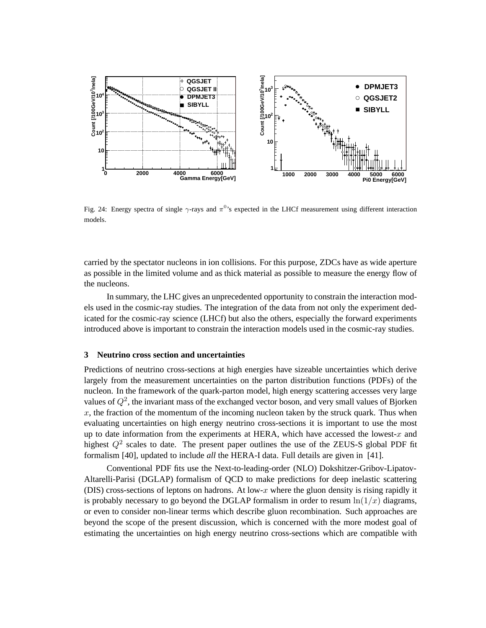

Fig. 24: Energy spectra of single  $\gamma$ -rays and  $\pi^{0}$ 's expected in the LHCf measurement using different interaction models.

carried by the spectator nucleons in ion collisions. For this purpose, ZDCs have as wide aperture as possible in the limited volume and as thick material as possible to measure the energy flow of the nucleons.

In summary, the LHC gives an unprecedented opportunity to constrain the interaction models used in the cosmic-ray studies. The integration of the data from not only the experiment dedicated for the cosmic-ray science (LHCf) but also the others, especially the forward experiments introduced above is important to constrain the interaction models used in the cosmic-ray studies.

# **3 Neutrino cross section and uncertainties**

Predictions of neutrino cross-sections at high energies have sizeable uncertainties which derive largely from the measurement uncertainties on the parton distribution functions (PDFs) of the nucleon. In the framework of the quark-parton model, high energy scattering accesses very large values of  $Q^2$ , the invariant mass of the exchanged vector boson, and very small values of Bjorken x, the fraction of the momentum of the incoming nucleon taken by the struck quark. Thus when evaluating uncertainties on high energy neutrino cross-sections it is important to use the most up to date information from the experiments at HERA, which have accessed the lowest- $x$  and highest  $Q^2$  scales to date. The present paper outlines the use of the ZEUS-S global PDF fit formalism [40], updated to include *all* the HERA-I data. Full details are given in [41].

Conventional PDF fits use the Next-to-leading-order (NLO) Dokshitzer-Gribov-Lipatov-Altarelli-Parisi (DGLAP) formalism of QCD to make predictions for deep inelastic scattering (DIS) cross-sections of leptons on hadrons. At low-x where the gluon density is rising rapidly it is probably necessary to go beyond the DGLAP formalism in order to resum  $\ln(1/x)$  diagrams, or even to consider non-linear terms which describe gluon recombination. Such approaches are beyond the scope of the present discussion, which is concerned with the more modest goal of estimating the uncertainties on high energy neutrino cross-sections which are compatible with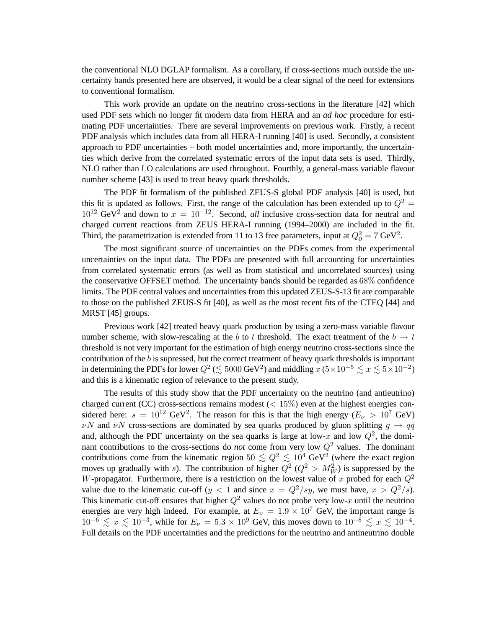the conventional NLO DGLAP formalism. As a corollary, if cross-sections much outside the uncertainty bands presented here are observed, it would be a clear signal of the need for extensions to conventional formalism.

This work provide an update on the neutrino cross-sections in the literature [42] which used PDF sets which no longer fit modern data from HERA and an *ad hoc* procedure for estimating PDF uncertainties. There are several improvements on previous work. Firstly, a recent PDF analysis which includes data from all HERA-I running [40] is used. Secondly, a consistent approach to PDF uncertainties – both model uncertainties and, more importantly, the uncertainties which derive from the correlated systematic errors of the input data sets is used. Thirdly, NLO rather than LO calculations are used throughout. Fourthly, a general-mass variable flavour number scheme [43] is used to treat heavy quark thresholds.

The PDF fit formalism of the published ZEUS-S global PDF analysis [40] is used, but this fit is updated as follows. First, the range of the calculation has been extended up to  $Q^2$  =  $10^{12}$  GeV<sup>2</sup> and down to  $x = 10^{-12}$ . Second, *all* inclusive cross-section data for neutral and charged current reactions from ZEUS HERA-I running (1994–2000) are included in the fit. Third, the parametrization is extended from 11 to 13 free parameters, input at  $Q_0^2 = 7 \text{ GeV}^2$ .

The most significant source of uncertainties on the PDFs comes from the experimental uncertainties on the input data. The PDFs are presented with full accounting for uncertainties from correlated systematic errors (as well as from statistical and uncorrelated sources) using the conservative OFFSET method. The uncertainty bands should be regarded as 68% confidence limits. The PDF central values and uncertainties from this updated ZEUS-S-13 fit are comparable to those on the published ZEUS-S fit [40], as well as the most recent fits of the CTEQ [44] and MRST [45] groups.

Previous work [42] treated heavy quark production by using a zero-mass variable flavour number scheme, with slow-rescaling at the b to t threshold. The exact treatment of the  $b \rightarrow t$ threshold is not very important for the estimation of high energy neutrino cross-sections since the contribution of the  $b$  is supressed, but the correct treatment of heavy quark thresholds is important in determining the PDFs for lower  $Q^2 \le 5000$  GeV<sup>2</sup>) and middling  $x(5 \times 10^{-5} \le x \le 5 \times 10^{-2})$ and this is a kinematic region of relevance to the present study.

The results of this study show that the PDF uncertainty on the neutrino (and antieutrino) charged current (CC) cross-sections remains modest ( $< 15\%$ ) even at the highest energies considered here:  $s = 10^{12} \text{ GeV}^2$ . The reason for this is that the high energy ( $E_{\nu} > 10^7 \text{ GeV}$ )  $\nu N$  and  $\bar{\nu}N$  cross-sections are dominated by sea quarks produced by gluon splitting  $g \to q\bar{q}$ and, although the PDF uncertainty on the sea quarks is large at low-x and low  $Q^2$ , the dominant contributions to the cross-sections do *not* come from very low  $Q^2$  values. The dominant contributions come from the kinematic region  $50 \lesssim Q^2 \lesssim 10^4$  GeV<sup>2</sup> (where the exact region moves up gradually with s). The contribution of higher  $Q^2$  ( $Q^2 > M_W^2$ ) is suppressed by the W-propagator. Furthermore, there is a restriction on the lowest value of x probed for each  $Q^2$ value due to the kinematic cut-off (y < 1 and since  $x = Q^2/sy$ , we must have,  $x > Q^2/s$ ). This kinematic cut-off ensures that higher  $Q^2$  values do not probe very low-x until the neutrino energies are very high indeed. For example, at  $E_{\nu} = 1.9 \times 10^{7}$  GeV, the important range is  $10^{-6} \le x \le 10^{-3}$ , while for  $E_{\nu} = 5.3 \times 10^{9}$  GeV, this moves down to  $10^{-8} \le x \le 10^{-4}$ . Full details on the PDF uncertainties and the predictions for the neutrino and antineutrino double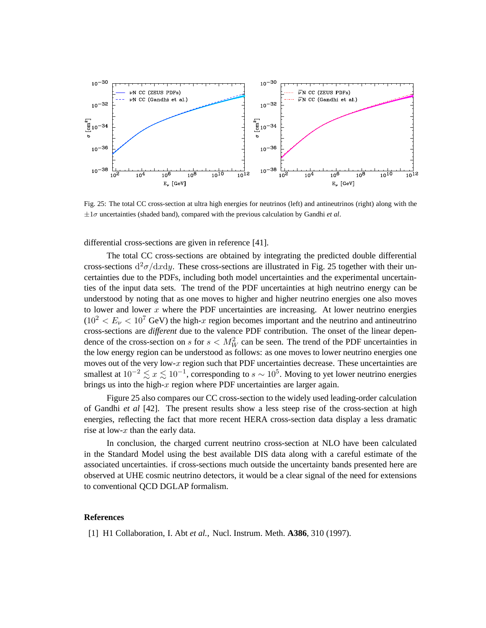

Fig. 25: The total CC cross-section at ultra high energies for neutrinos (left) and antineutrinos (right) along with the  $\pm 1\sigma$  uncertainties (shaded band), compared with the previous calculation by Gandhi *et al*.

differential cross-sections are given in reference [41].

The total CC cross-sections are obtained by integrating the predicted double differential cross-sections  $d^2\sigma/dxdy$ . These cross-sections are illustrated in Fig. 25 together with their uncertainties due to the PDFs, including both model uncertainties and the experimental uncertainties of the input data sets. The trend of the PDF uncertainties at high neutrino energy can be understood by noting that as one moves to higher and higher neutrino energies one also moves to lower and lower  $x$  where the PDF uncertainties are increasing. At lower neutrino energies  $(10^2 < E_\nu < 10^7$  GeV) the high-x region becomes important and the neutrino and antineutrino cross-sections are *different* due to the valence PDF contribution. The onset of the linear dependence of the cross-section on s for  $s < M_W^2$  can be seen. The trend of the PDF uncertainties in the low energy region can be understood as follows: as one moves to lower neutrino energies one moves out of the very low- $x$  region such that PDF uncertainties decrease. These uncertainties are smallest at  $10^{-2} \lesssim x \lesssim 10^{-1}$ , corresponding to  $s \sim 10^5$ . Moving to yet lower neutrino energies brings us into the high- $x$  region where PDF uncertainties are larger again.

Figure 25 also compares our CC cross-section to the widely used leading-order calculation of Gandhi *et al* [42]. The present results show a less steep rise of the cross-section at high energies, reflecting the fact that more recent HERA cross-section data display a less dramatic rise at low- $x$  than the early data.

In conclusion, the charged current neutrino cross-section at NLO have been calculated in the Standard Model using the best available DIS data along with a careful estimate of the associated uncertainties. if cross-sections much outside the uncertainty bands presented here are observed at UHE cosmic neutrino detectors, it would be a clear signal of the need for extensions to conventional QCD DGLAP formalism.

#### **References**

[1] H1 Collaboration, I. Abt *et al.*, Nucl. Instrum. Meth. **A386**, 310 (1997).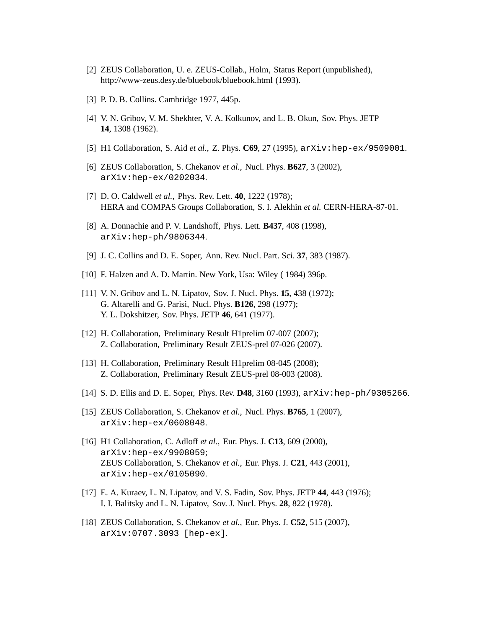- [2] ZEUS Collaboration, U. e. ZEUS-Collab., Holm, Status Report (unpublished), http://www-zeus.desy.de/bluebook/bluebook.html (1993).
- [3] P. D. B. Collins. Cambridge 1977, 445p.
- [4] V. N. Gribov, V. M. Shekhter, V. A. Kolkunov, and L. B. Okun, Sov. Phys. JETP **14**, 1308 (1962).
- [5] H1 Collaboration, S. Aid *et al.*, Z. Phys. **C69**, 27 (1995), arXiv:hep-ex/9509001.
- [6] ZEUS Collaboration, S. Chekanov *et al.*, Nucl. Phys. **B627**, 3 (2002), arXiv:hep-ex/0202034.
- [7] D. O. Caldwell *et al.*, Phys. Rev. Lett. **40**, 1222 (1978); HERA and COMPAS Groups Collaboration, S. I. Alekhin *et al.* CERN-HERA-87-01.
- [8] A. Donnachie and P. V. Landshoff, Phys. Lett. **B437**, 408 (1998), arXiv:hep-ph/9806344.
- [9] J. C. Collins and D. E. Soper, Ann. Rev. Nucl. Part. Sci. **37**, 383 (1987).
- [10] F. Halzen and A. D. Martin. New York, Usa: Wiley (1984) 396p.
- [11] V. N. Gribov and L. N. Lipatov, Sov. J. Nucl. Phys. **15**, 438 (1972); G. Altarelli and G. Parisi, Nucl. Phys. **B126**, 298 (1977); Y. L. Dokshitzer, Sov. Phys. JETP **46**, 641 (1977).
- [12] H. Collaboration, Preliminary Result H1prelim 07-007 (2007); Z. Collaboration, Preliminary Result ZEUS-prel 07-026 (2007).
- [13] H. Collaboration, Preliminary Result H1prelim 08-045 (2008); Z. Collaboration, Preliminary Result ZEUS-prel 08-003 (2008).
- [14] S. D. Ellis and D. E. Soper, Phys. Rev. **D48**, 3160 (1993), arXiv:hep-ph/9305266.
- [15] ZEUS Collaboration, S. Chekanov *et al.*, Nucl. Phys. **B765**, 1 (2007), arXiv:hep-ex/0608048.
- [16] H1 Collaboration, C. Adloff *et al.*, Eur. Phys. J. **C13**, 609 (2000), arXiv:hep-ex/9908059; ZEUS Collaboration, S. Chekanov *et al.*, Eur. Phys. J. **C21**, 443 (2001), arXiv:hep-ex/0105090.
- [17] E. A. Kuraev, L. N. Lipatov, and V. S. Fadin, Sov. Phys. JETP **44**, 443 (1976); I. I. Balitsky and L. N. Lipatov, Sov. J. Nucl. Phys. **28**, 822 (1978).
- [18] ZEUS Collaboration, S. Chekanov *et al.*, Eur. Phys. J. **C52**, 515 (2007), arXiv:0707.3093 [hep-ex].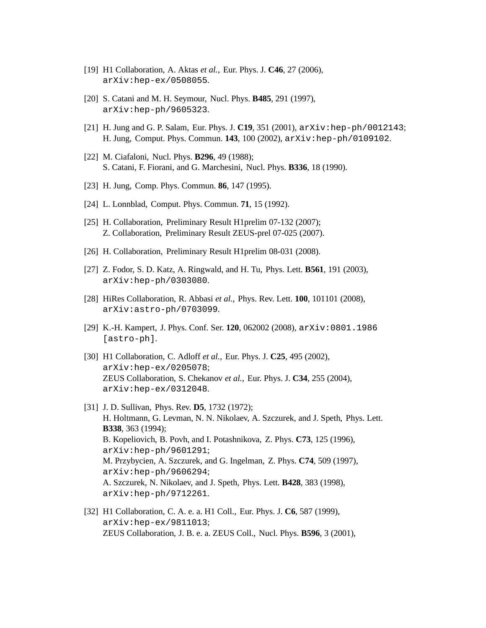- [19] H1 Collaboration, A. Aktas *et al.*, Eur. Phys. J. **C46**, 27 (2006), arXiv:hep-ex/0508055.
- [20] S. Catani and M. H. Seymour, Nucl. Phys. **B485**, 291 (1997), arXiv:hep-ph/9605323.
- [21] H. Jung and G. P. Salam, Eur. Phys. J. **C19**, 351 (2001), arXiv:hep-ph/0012143; H. Jung, Comput. Phys. Commun. **143**, 100 (2002), arXiv:hep-ph/0109102.
- [22] M. Ciafaloni, Nucl. Phys. **B296**, 49 (1988); S. Catani, F. Fiorani, and G. Marchesini, Nucl. Phys. **B336**, 18 (1990).
- [23] H. Jung, Comp. Phys. Commun. **86**, 147 (1995).
- [24] L. Lonnblad, Comput. Phys. Commun. **71**, 15 (1992).
- [25] H. Collaboration, Preliminary Result H1prelim 07-132 (2007); Z. Collaboration, Preliminary Result ZEUS-prel 07-025 (2007).
- [26] H. Collaboration, Preliminary Result H1prelim 08-031 (2008).
- [27] Z. Fodor, S. D. Katz, A. Ringwald, and H. Tu, Phys. Lett. **B561**, 191 (2003), arXiv:hep-ph/0303080.
- [28] HiRes Collaboration, R. Abbasi *et al.*, Phys. Rev. Lett. **100**, 101101 (2008), arXiv:astro-ph/0703099.
- [29] K.-H. Kampert, J. Phys. Conf. Ser. **120**, 062002 (2008), arXiv:0801.1986 [astro-ph].
- [30] H1 Collaboration, C. Adloff *et al.*, Eur. Phys. J. **C25**, 495 (2002), arXiv:hep-ex/0205078; ZEUS Collaboration, S. Chekanov *et al.*, Eur. Phys. J. **C34**, 255 (2004), arXiv:hep-ex/0312048.
- [31] J. D. Sullivan, Phys. Rev. **D5**, 1732 (1972); H. Holtmann, G. Levman, N. N. Nikolaev, A. Szczurek, and J. Speth, Phys. Lett. **B338**, 363 (1994); B. Kopeliovich, B. Povh, and I. Potashnikova, Z. Phys. **C73**, 125 (1996), arXiv:hep-ph/9601291; M. Przybycien, A. Szczurek, and G. Ingelman, Z. Phys. **C74**, 509 (1997), arXiv:hep-ph/9606294; A. Szczurek, N. Nikolaev, and J. Speth, Phys. Lett. **B428**, 383 (1998), arXiv:hep-ph/9712261.
- [32] H1 Collaboration, C. A. e. a. H1 Coll., Eur. Phys. J. **C6**, 587 (1999), arXiv:hep-ex/9811013; ZEUS Collaboration, J. B. e. a. ZEUS Coll., Nucl. Phys. **B596**, 3 (2001),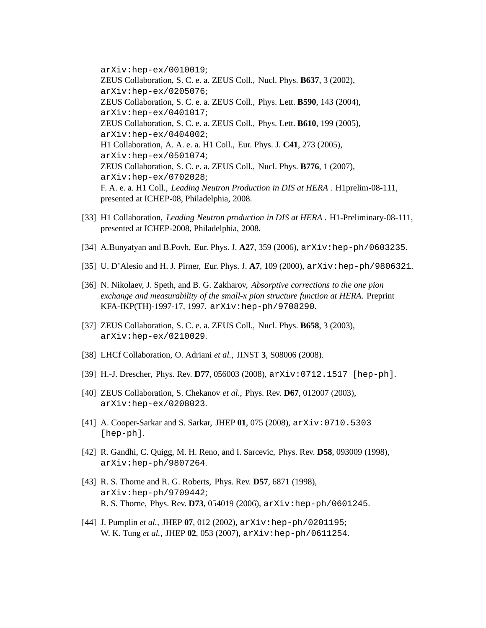arXiv:hep-ex/0010019; ZEUS Collaboration, S. C. e. a. ZEUS Coll., Nucl. Phys. **B637**, 3 (2002), arXiv:hep-ex/0205076; ZEUS Collaboration, S. C. e. a. ZEUS Coll., Phys. Lett. **B590**, 143 (2004), arXiv:hep-ex/0401017; ZEUS Collaboration, S. C. e. a. ZEUS Coll., Phys. Lett. **B610**, 199 (2005), arXiv:hep-ex/0404002; H1 Collaboration, A. A. e. a. H1 Coll., Eur. Phys. J. **C41**, 273 (2005), arXiv:hep-ex/0501074; ZEUS Collaboration, S. C. e. a. ZEUS Coll., Nucl. Phys. **B776**, 1 (2007), arXiv:hep-ex/0702028; F. A. e. a. H1 Coll., *Leading Neutron Production in DIS at HERA* . H1prelim-08-111, presented at ICHEP-08, Philadelphia, 2008.

- [33] H1 Collaboration, *Leading Neutron production in DIS at HERA* . H1-Preliminary-08-111, presented at ICHEP-2008, Philadelphia, 2008.
- [34] A.Bunyatyan and B.Povh, Eur. Phys. J. **A27**, 359 (2006), arXiv:hep-ph/0603235.
- [35] U. D'Alesio and H. J. Pirner, Eur. Phys. J. **A7**, 109 (2000), arXiv:hep-ph/9806321.
- [36] N. Nikolaev, J. Speth, and B. G. Zakharov, *Absorptive corrections to the one pion exchange and measurability of the small-x pion structure function at HERA*. Preprint KFA-IKP(TH)-1997-17, 1997. arXiv:hep-ph/9708290.
- [37] ZEUS Collaboration, S. C. e. a. ZEUS Coll., Nucl. Phys. **B658**, 3 (2003), arXiv:hep-ex/0210029.
- [38] LHCf Collaboration, O. Adriani *et al.*, JINST **3**, S08006 (2008).
- [39] H.-J. Drescher, Phys. Rev. **D77**, 056003 (2008), arXiv:0712.1517 [hep-ph].
- [40] ZEUS Collaboration, S. Chekanov *et al.*, Phys. Rev. **D67**, 012007 (2003), arXiv:hep-ex/0208023.
- [41] A. Cooper-Sarkar and S. Sarkar, JHEP **01**, 075 (2008), arXiv:0710.5303 [hep-ph].
- [42] R. Gandhi, C. Quigg, M. H. Reno, and I. Sarcevic, Phys. Rev. **D58**, 093009 (1998), arXiv:hep-ph/9807264.
- [43] R. S. Thorne and R. G. Roberts, Phys. Rev. **D57**, 6871 (1998), arXiv:hep-ph/9709442; R. S. Thorne, Phys. Rev. **D73**, 054019 (2006), arXiv:hep-ph/0601245.
- [44] J. Pumplin *et al.*, JHEP **07**, 012 (2002), arXiv:hep-ph/0201195; W. K. Tung *et al.*, JHEP **02**, 053 (2007), arXiv:hep-ph/0611254.